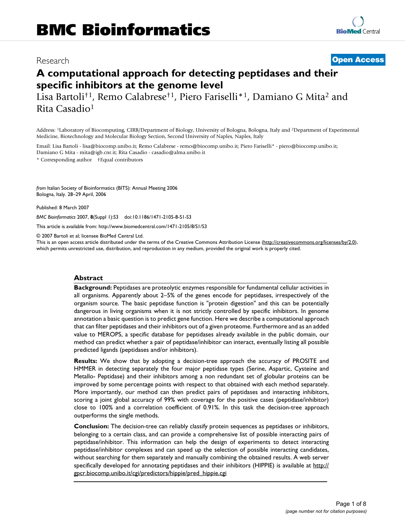## Research **[Open Access](http://www.biomedcentral.com/info/about/charter/)**

# **A computational approach for detecting peptidases and their specific inhibitors at the genome level**

Lisa Bartoli†1, Remo Calabrese†1, Piero Fariselli\*1, Damiano G Mita2 and Rita Casadio1

Address: 1Laboratory of Biocomputing, CIRB/Department of Biology, University of Bologna, Bologna, Italy and 2Department of Experimental Medicine, Biotechnology and Molecular Biology Section, Second University of Naples, Naples, Italy

Email: Lisa Bartoli - lisa@biocomp.unibo.it; Remo Calabrese - remo@biocomp.unibo.it; Piero Fariselli\* - piero@biocomp.unibo.it; Damiano G Mita - mita@igb.cnr.it; Rita Casadio - casadio@alma.unibo.it

\* Corresponding author †Equal contributors

*from* Italian Society of Bioinformatics (BITS): Annual Meeting 2006 Bologna, Italy. 28–29 April, 2006

Published: 8 March 2007

*BMC Bioinformatics* 2007, **8**(Suppl 1):S3 doi:10.1186/1471-2105-8-S1-S3

[This article is available from: http://www.biomedcentral.com/1471-2105/8/S1/S3](http://www.biomedcentral.com/1471-2105/8/S1/S3)

© 2007 Bartoli et al; licensee BioMed Central Ltd.

This is an open access article distributed under the terms of the Creative Commons Attribution License [\(http://creativecommons.org/licenses/by/2.0\)](http://creativecommons.org/licenses/by/2.0), which permits unrestricted use, distribution, and reproduction in any medium, provided the original work is properly cited.

#### **Abstract**

**Background:** Peptidases are proteolytic enzymes responsible for fundamental cellular activities in all organisms. Apparently about 2–5% of the genes encode for peptidases, irrespectively of the organism source. The basic peptidase function is "protein digestion" and this can be potentially dangerous in living organisms when it is not strictly controlled by specific inhibitors. In genome annotation a basic question is to predict gene function. Here we describe a computational approach that can filter peptidases and their inhibitors out of a given proteome. Furthermore and as an added value to MEROPS, a specific database for peptidases already available in the public domain, our method can predict whether a pair of peptidase/inhibitor can interact, eventually listing all possible predicted ligands (peptidases and/or inhibitors).

**Results:** We show that by adopting a decision-tree approach the accuracy of PROSITE and HMMER in detecting separately the four major peptidase types (Serine, Aspartic, Cysteine and Metallo- Peptidase) and their inhibitors among a non redundant set of globular proteins can be improved by some percentage points with respect to that obtained with each method separately. More importantly, our method can then predict pairs of peptidases and interacting inhibitors, scoring a joint global accuracy of 99% with coverage for the positive cases (peptidase/inhibitor) close to 100% and a correlation coefficient of 0.91%. In this task the decision-tree approach outperforms the single methods.

**Conclusion:** The decision-tree can reliably classify protein sequences as peptidases or inhibitors, belonging to a certain class, and can provide a comprehensive list of possible interacting pairs of peptidase/inhibitor. This information can help the design of experiments to detect interacting peptidase/inhibitor complexes and can speed up the selection of possible interacting candidates, without searching for them separately and manually combining the obtained results. A web server specifically developed for annotating peptidases and their inhibitors (HIPPIE) is available at [http://](http://gpcr.biocomp.unibo.it/cgi/predictors/hippie/pred_hippie.cgi) [gpcr.biocomp.unibo.it/cgi/predictors/hippie/pred\\_hippie.cgi](http://gpcr.biocomp.unibo.it/cgi/predictors/hippie/pred_hippie.cgi)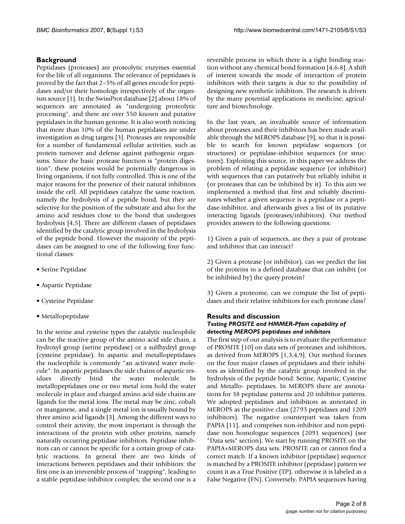## **Background**

Peptidases (proteases) are proteolytic enzymes essential for the life of all organisms. The relevance of peptidases is proved by the fact that 2–5% of all genes encode for peptidases and/or their homologs irrespectively of the organism source [1]. In the SwissProt database [2] about 18% of sequences are annotated as "undergoing proteolytic processing", and there are over 550 known and putative peptidases in the human genome. It is also worth noticing that more than 10% of the human peptidases are under investigation as drug targets [3]. Proteases are responsible for a number of fundamental cellular activities, such as protein turnover and defense against pathogenic organisms. Since the basic protease function is "protein digestion", these proteins would be potentially dangerous in living organisms, if not fully controlled. This is one of the major reasons for the presence of their natural inhibitors inside the cell. All peptidases catalyze the same reaction, namely the hydrolysis of a peptide bond, but they are selective for the position of the substrate and also for the amino acid residues close to the bond that undergoes hydrolysis [4,5]. There are different classes of peptidases identified by the catalytic group involved in the hydrolysis of the peptide bond. However the majority of the peptidases can be assigned to one of the following four functional classes:

- Serine Peptidase
- Aspartic Peptidase
- Cysteine Peptidase
- Metallopeptidase

In the serine and cysteine types the catalytic nucleophile can be the reactive group of the amino acid side chain, a hydroxyl group (serine peptidase) or a sulfhydryl group (cysteine peptidase). In aspartic and metallopeptidases the nucleophile is commonly "an activated water molecule". In aspartic peptidases the side chains of aspartic residues directly bind the water molecule. In metallopeptidases one or two metal ions hold the water molecule in place and charged amino acid side chains are ligands for the metal ions. The metal may be zinc, cobalt or manganese, and a single metal ion is usually bound by three amino acid ligands [3]. Among the different ways to control their activity, the most important is through the interactions of the protein with other proteins, namely naturally occurring peptidase inhibitors. Peptidase inhibitors can or cannot be specific for a certain group of catalytic reactions. In general there are two kinds of interactions between peptidases and their inhibitors: the first one is an irreversible process of "trapping", leading to a stable peptidase-inhibitor complex; the second one is a

reversible process in which there is a tight binding reaction without any chemical bond formation [4,6-8]. A shift of interest towards the mode of interaction of protein inhibitors with their targets is due to the possibility of designing new synthetic inhibitors. The research is driven by the many potential applications in medicine, agriculture and biotechnology.

In the last years, an invaluable source of information about proteases and their inhibitors has been made available through the MEROPS database [9], so that it is possible to search for known peptidase sequences (or structures) or peptidase-inhibitor sequences (or structures). Exploiting this source, in this paper we address the problem of relating a peptidase sequence (or inhibitor) with sequences that can putatively but reliably inhibit it (or proteases that can be inhibited by it). To this aim we implemented a method that first and reliably discriminates whether a given sequence is a peptidase or a peptidase-inhibitor, and afterwards gives a list of its putative interacting ligands (proteases/inhibitors). Our method provides answers to the following questions:

1) Given a pair of sequences, are they a pair of protease and inhibitor that can interact?

2) Given a protease (or inhibitor), can we predict the list of the proteins in a defined database that can inhibit (or be inhibited by) the query protein?

3) Given a proteome, can we compute the list of peptidases and their relative inhibitors for each protease class?

## **Results and discussion** *Testing PROSITE and HMMER-Pfam capability of detecting MEROPS peptidases and inhibitors*

The first step of our analysis is to evaluate the performance of PROSITE [10] on data sets of proteases and inhibitors, as derived from MEROPS [1,3,4,9]. Our method focuses on the four major classes of peptidases and their inhibitors as identified by the catalytic group involved in the hydrolysis of the peptide bond: Serine, Aspartic, Cysteine and Metallo- peptidases. In MEROPS there are annotations for 38 peptidase patterns and 20 inhibitor patterns. We adopted peptidases and inhibitors as annotated in MEROPS as the positive class (2793 peptidases and 1209 inhibitors). The negative counterpart was taken from PAPIA [11], and comprises non-inhibitor and non-peptidase non homologue sequences (2091 sequences) (see "Data sets" section). We start by running PROSITE on the PAPIA+MEROPS data sets. PROSITE can or cannot find a correct match. If a known inhibitor (peptidase) sequence is matched by a PROSITE inhibitor (peptidase) pattern we count it as a True Positive (TP), otherwise it is labeled as a False Negative (FN). Conversely, PAPIA sequences having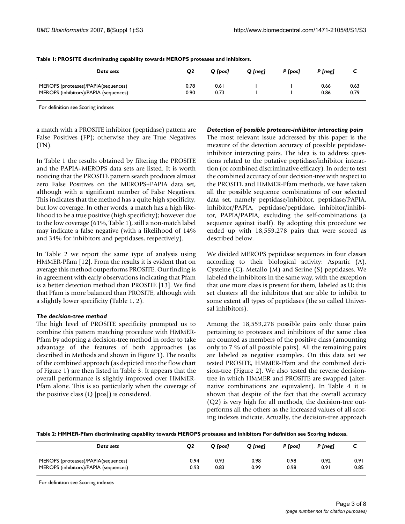| Data sets                                                                    | O2           | $Q$ [pos]    | Q [neg] | $P$ [pos] | P [neg]      | ◡            |
|------------------------------------------------------------------------------|--------------|--------------|---------|-----------|--------------|--------------|
| MEROPS (proteases)/PAPIA(sequences)<br>MEROPS (inhibitors)/PAPIA (sequences) | 0.78<br>0.90 | 0.61<br>0.73 |         |           | 0.66<br>0.86 | 0.63<br>0.79 |

**Table 1: PROSITE discriminating capability towards MEROPS proteases and inhibitors.**

For definition see Scoring indexes

a match with a PROSITE inhibitor (peptidase) pattern are False Positives (FP); otherwise they are True Negatives (TN).

In Table 1 the results obtained by filtering the PROSITE and the PAPIA+MEROPS data sets are listed. It is worth noticing that the PROSITE pattern search produces almost zero False Positives on the MEROPS+PAPIA data set, although with a significant number of False Negatives. This indicates that the method has a quite high specificity, but low coverage. In other words, a match has a high likelihood to be a true positive (high specificity); however due to the low coverage (61%, Table 1), still a non-match label may indicate a false negative (with a likelihood of 14% and 34% for inhibitors and peptidases, respectively).

In Table 2 we report the same type of analysis using HMMER-Pfam [12]. From the results it is evident that on average this method outperforms PROSITE. Our finding is in agreement with early observations indicating that Pfam is a better detection method than PROSITE [13]. We find that Pfam is more balanced than PROSITE, although with a slightly lower specificity (Table 1, 2).

#### *The decision-tree method*

The high level of PROSITE specificity prompted us to combine this pattern matching procedure with HMMER-Pfam by adopting a decision-tree method in order to take advantage of the features of both approaches (as described in Methods and shown in Figure 1). The results of the combined approach (as depicted into the flow chart of Figure 1) are then listed in Table 3. It appears that the overall performance is slightly improved over HMMER-Pfam alone. This is so particularly when the coverage of the positive class (Q [pos]) is considered.

*Detection of possible protease-inhibitor interacting pairs* The most relevant issue addressed by this paper is the measure of the detection accuracy of possible peptidaseinhibitor interacting pairs. The idea is to address questions related to the putative peptidase/inhibitor interaction (or combined discriminative efficacy). In order to test the combined accuracy of our decision-tree with respect to the PROSITE and HMMER-Pfam methods, we have taken all the possible sequence combinations of our selected data set, namely peptidase/inhibitor, peptidase/PAPIA, inhibitor/PAPIA, peptidase/peptidase, inhibitor/inhibitor, PAPIA/PAPIA, excluding the self-combinations (a sequence against itself). By adopting this procedure we ended up with 18,559,278 pairs that were scored as described below.

We divided MEROPS peptidase sequences in four classes according to their biological activity: Aspartic (A), Cysteine (C), Metallo (M) and Serine (S) peptidases. We labeled the inhibitors in the same way, with the exception that one more class is present for them, labeled as U; this set clusters all the inhibitors that are able to inhibit to some extent all types of peptidases (the so called Universal inhibitors).

Among the 18,559,278 possible pairs only those pairs pertaining to proteases and inhibitors of the same class are counted as members of the positive class (amounting only to 7 % of all possible pairs). All the remaining pairs are labeled as negative examples. On this data set we tested PROSITE, HMMER-Pfam and the combined decision-tree (Figure 2). We also tested the reverse decisiontree in which HMMER and PROSITE are swapped (alternative combinations are equivalent). In Table 4 it is shown that despite of the fact that the overall accuracy (Q2) is very high for all methods, the decision-tree outperforms all the others as the increased values of all scoring indexes indicate. Actually, the decision-tree approach

**Table 2: HMMER-Pfam discriminating capability towards MEROPS proteases and inhibitors For definition see Scoring indexes.**

| Data sets                             | O2   | Q [pos] | Q [neg] | P [pos] | P [neg] | ╰    |
|---------------------------------------|------|---------|---------|---------|---------|------|
| MEROPS (proteases)/PAPIA(sequences)   | 0.94 | 0.93    | 0.98    | 0.98    | 0.92    | 0.91 |
| MEROPS (inhibitors)/PAPIA (sequences) | 0.93 | 0.83    | 0.99    | 0.98    | 0.91    | 0.85 |

For definition see Scoring indexes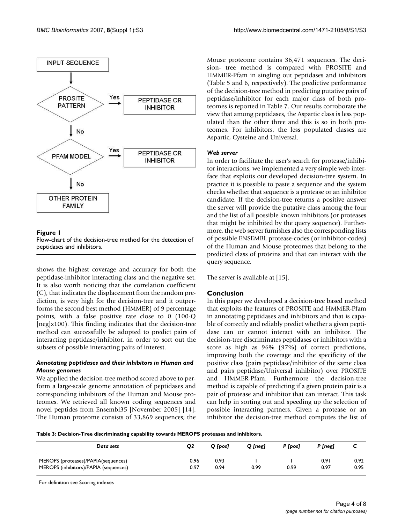

#### Figure 1 Flow-chart of the decision-tree method for the detection of peptidases and inhibitors.

shows the highest coverage and accuracy for both the peptidase-inhibitor interacting class and the negative set. It is also worth noticing that the correlation coefficient (C), that indicates the displacement from the random prediction, is very high for the decision-tree and it outperforms the second best method (HMMER) of 9 percentage points, with a false positive rate close to 0 (100-Q [neg]x100). This finding indicates that the decision-tree method can successfully be adopted to predict pairs of interacting peptidase/inhibitor, in order to sort out the subsets of possible interacting pairs of interest.

#### *Annotating peptidases and their inhibitors in Human and Mouse genomes*

We applied the decision-tree method scored above to perform a large-scale genome annotation of peptidases and corresponding inhibitors of the Human and Mouse proteomes. We retrieved all known coding sequences and novel peptides from Ensembl35 [November 2005] [14]. The Human proteome consists of 33,869 sequences; the Mouse proteome contains 36,471 sequences. The decision- tree method is compared with PROSITE and HMMER-Pfam in singling out peptidases and inhibitors (Table 5 and 6, respectively). The predictive performance of the decision-tree method in predicting putative pairs of peptidase/inhibitor for each major class of both proteomes is reported in Table 7. Our results corroborate the view that among peptidases, the Aspartic class is less populated than the other three and this is so in both proteomes. For inhibitors, the less populated classes are Aspartic, Cysteine and Universal.

## *Web server*

In order to facilitate the user's search for protease/inhibitor interactions, we implemented a very simple web interface that exploits our developed decision-tree system. In practice it is possible to paste a sequence and the system checks whether that sequence is a protease or an inhibitor candidate. If the decision-tree returns a positive answer the server will provide the putative class among the four and the list of all possible known inhibitors (or proteases that might be inhibited by the query sequence). Furthermore, the web server furnishes also the corresponding lists of possible ENSEMBL protease-codes (or inhibitor-codes) of the Human and Mouse proteomes that belong to the predicted class of proteins and that can interact with the query sequence.

The server is available at [15].

## **Conclusion**

In this paper we developed a decision-tree based method that exploits the features of PROSITE and HMMER-Pfam in annotating peptidases and inhibitors and that is capable of correctly and reliably predict whether a given peptidase can or cannot interact with an inhibitor. The decision-tree discriminates peptidases or inhibitors with a score as high as 96% (97%) of correct predictions, improving both the coverage and the specificity of the positive class (pairs peptidase/inhibitor of the same class and pairs peptidase/Universal inhibitor) over PROSITE and HMMER-Pfam. Furthermore the decision-tree method is capable of predicting if a given protein pair is a pair of protease and inhibitor that can interact. This task can help in sorting out and speeding up the selection of possible interacting partners. Given a protease or an inhibitor the decision-tree method computes the list of

**Table 3: Decision-Tree discriminating capability towards MEROPS proteases and inhibitors.**

| Data sets                                                                    | O2           | Q [pos]      | Q [neg] | P [pos] | P [neg]      | ֊            |
|------------------------------------------------------------------------------|--------------|--------------|---------|---------|--------------|--------------|
| MEROPS (proteases)/PAPIA(sequences)<br>MEROPS (inhibitors)/PAPIA (sequences) | 0.96<br>0.97 | 0.93<br>0.94 | 0.99    | 0.99    | 0.91<br>0.97 | 0.92<br>0.95 |

For definition see Scoring indexes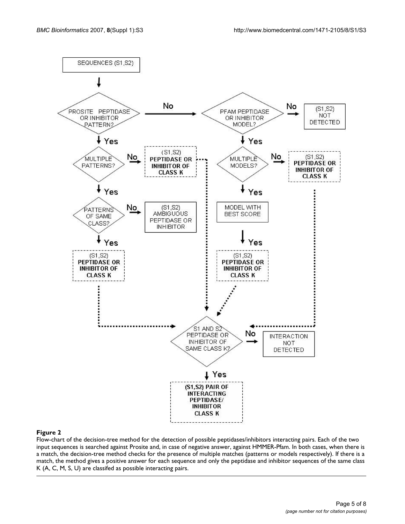

#### Flow-chart of the decision-tree method for the detection **Figure 2** of possible peptidases/inhibitors interacting pairs

Flow-chart of the decision-tree method for the detection of possible peptidases/inhibitors interacting pairs. Each of the two input sequences is searched against Prosite and, in case of negative answer, against HMMER-Pfam. In both cases, when there is a match, the decision-tree method checks for the presence of multiple matches (patterns or models respectively). If there is a match, the method gives a positive answer for each sequence and only the peptidase and inhibitor sequences of the same class K (A, C, M, S, U) are classifed as possible interacting pairs.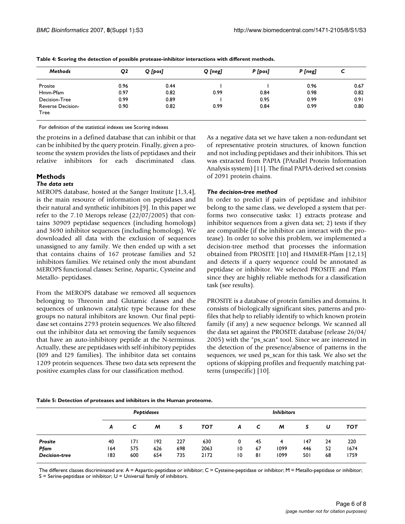| <b>Methods</b>                   | Q <sub>2</sub> | Q [pos] | Q [neg] | P [pos] | P [neg] | ◡    |
|----------------------------------|----------------|---------|---------|---------|---------|------|
| Prosite                          | 0.96           | 0.44    |         |         | 0.96    | 0.67 |
| Hmm-Pfam                         | 0.97           | 0.82    | 0.99    | 0.84    | 0.98    | 0.82 |
| Decision-Tree                    | 0.99           | 0.89    |         | 0.95    | 0.99    | 0.91 |
| <b>Reverse Decision-</b><br>Tree | 0.90           | 0.82    | 0.99    | 0.84    | 0.99    | 0.80 |

**Table 4: Scoring the detection of possible protease-inhibitor interactions with different methods.**

For definition of the statistical indexes see Scoring indexes

the proteins in a defined database that can inhibit or that can be inhibited by the query protein. Finally, given a proteome the system provides the lists of peptidases and their relative inhibitors for each discriminated class.

## **Methods**

#### *The data sets*

MEROPS database, hosted at the Sanger Institute [1,3,4], is the main resource of information on peptidases and their natural and synthetic inhibitors [9]. In this paper we refer to the 7.10 Merops release (22/07/2005) that contains 30909 peptidase sequences (including homologs) and 3690 inhibitor sequences (including homologs). We downloaded all data with the exclusion of sequences unassigned to any family. We then ended up with a set that contains chains of 167 protease families and 52 inhibitors families. We retained only the most abundant MEROPS functional classes: Serine, Aspartic, Cysteine and Metallo- peptidases.

From the MEROPS database we removed all sequences belonging to Threonin and Glutamic classes and the sequences of unknown catalytic type because for these groups no natural inhibitors are known. Our final peptidase set contains 2793 protein sequences. We also filtered out the inhibitor data set removing the family sequences that have an auto-inhibitory peptide at the N-terminus. Actually, these are peptidases with self-inhibitory peptides (I09 and I29 families). The inhibitor data set contains 1209 protein sequences. These two data sets represent the positive examples class for our classification method.

As a negative data set we have taken a non-redundant set of representative protein structures, of known function and not including peptidases and their inhibitors. This set was extracted from PAPIA (PArallel Protein Information Analysis system) [11]. The final PAPIA-derived set consists of 2091 protein chains.

#### *The decision-tree method*

In order to predict if pairs of peptidase and inhibitor belong to the same class, we developed a system that performs two consecutive tasks: 1) extracts protease and inhibitor sequences from a given data set; 2) tests if they are compatible (if the inhibitor can interact with the protease). In order to solve this problem, we implemented a decision-tree method that processes the information obtained from PROSITE [10] and HMMER-Pfam [12,13] and detects if a query sequence could be annotated as peptidase or inhibitor. We selected PROSITE and Pfam since they are highly reliable methods for a classification task (see results).

PROSITE is a database of protein families and domains. It consists of biologically significant sites, patterns and profiles that help to reliably identify to which known protein family (if any) a new sequence belongs. We scanned all the data set against the PROSITE database (release 26/04/ 2005) with the "ps\_scan" tool. Since we are interested in the detection of the presence/absence of patterns in the sequences, we used ps\_scan for this task. We also set the options of skipping profiles and frequently matching patterns (unspecific) [10].

| Table 5: Detection of proteases and inhibitors in the Human proteome. |  |  |
|-----------------------------------------------------------------------|--|--|
|                                                                       |  |  |

|                      |     | <b>Inhibitors</b> |     |     |            |    |    |      |     |    |            |
|----------------------|-----|-------------------|-----|-----|------------|----|----|------|-----|----|------------|
|                      | A   | C                 | M   | s   | <b>TOT</b> | A  | C  | м    |     | U  | <b>TOT</b> |
| <b>Prosite</b>       | 40  | 171               | 192 | 227 | 630        | 0  | 45 | 4    | 147 | 24 | 220        |
| Pfam                 | 164 | 575               | 626 | 698 | 2063       | 10 | 67 | 1099 | 446 | 52 | 1674       |
| <b>Decision-tree</b> | 183 | 600               | 654 | 735 | 2172       | 10 | 81 | 1099 | 501 | 68 | 1759       |

The different classes discriminated are: A = Aspartic-peptidase or inhibitor; C = Cysteine-peptidase or inhibitor; M = Metallo-peptidase or inhibitor;  $S =$  Serine-peptidase or inhibitor;  $U =$  Universal family of inhibitors.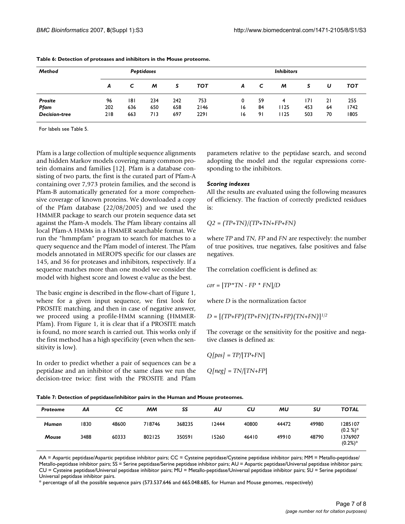| Method               | Peptidases |     |     |     |            |    | <b>Inhibitors</b> |      |     |    |      |  |
|----------------------|------------|-----|-----|-----|------------|----|-------------------|------|-----|----|------|--|
|                      | A          | С   | M   | s   | <b>TOT</b> | A  | C                 | M    | S   | υ  | тот  |  |
| <b>Prosite</b>       | 96         | 181 | 234 | 242 | 753        | 0  | 59                | 4    | 7   | 21 | 255  |  |
| Pfam                 | 202        | 636 | 650 | 658 | 2146       | 16 | 84                | 1125 | 453 | 64 | 1742 |  |
| <b>Decision-tree</b> | 218        | 663 | 713 | 697 | 2291       | 16 | 91                | 1125 | 503 | 70 | 1805 |  |

**Table 6: Detection of proteases and inhibitors in the Mouse proteome.**

For labels see Table 5.

Pfam is a large collection of multiple sequence alignments and hidden Markov models covering many common protein domains and families [12]. Pfam is a database consisting of two parts, the first is the curated part of Pfam-A containing over 7,973 protein families, and the second is Pfam-B automatically generated for a more comprehensive coverage of known proteins. We downloaded a copy of the Pfam database (22/08/2005) and we used the HMMER package to search our protein sequence data set against the Pfam-A models. The Pfam library contains all local Pfam-A HMMs in a HMMER searchable format. We run the "hmmpfam" program to search for matches to a query sequence and the Pfam model of interest. The Pfam models annotated in MEROPS specific for our classes are 145, and 36 for proteases and inhibitors, respectively. If a sequence matches more than one model we consider the model with highest score and lowest e-value as the best.

The basic engine is described in the flow-chart of Figure 1, where for a given input sequence, we first look for PROSITE matching, and then in case of negative answer, we proceed using a profile-HMM scanning (HMMER-Pfam). From Figure 1, it is clear that if a PROSITE match is found, no more search is carried out. This works only if the first method has a high specificity (even when the sensitivity is low).

In order to predict whether a pair of sequences can be a peptidase and an inhibitor of the same class we run the decision-tree twice: first with the PROSITE and Pfam parameters relative to the peptidase search, and second adopting the model and the regular expressions corresponding to the inhibitors.

#### *Scoring indexes*

All the results are evaluated using the following measures of efficiency. The fraction of correctly predicted residues is:

*Q2* = *(TP+TN)/(TP+TN+FP+FN)*

where *TP* and *TN, FP* and *FN* are respectively: the number of true positives, true negatives, false positives and false negatives.

The correlation coefficient is defined as:

$$
cor = [TP^*TN - FP * FN]/D
$$

where *D* is the normalization factor

*D* = [*(TP+FP)(TP+FN)(TN+FP)(TN+FN)*]*1/2*

The coverage or the sensitivity for the positive and negative classes is defined as:

$$
Q[pos] = TP/[TP+FN]
$$

$$
Q[neg] = TN/[TN+FP]
$$

**Table 7: Detection of peptidase/inhibitor pairs in the Human and Mouse proteomes.**

| Proteome | АΑ   | СC    | MМ     | SS     | AU    | CU    | MU    | SU    | <b>TOTAL</b>            |
|----------|------|-------|--------|--------|-------|-------|-------|-------|-------------------------|
| Human    | 1830 | 48600 | 718746 | 368235 | 12444 | 40800 | 44472 | 49980 | 1285107<br>$(0.2 \%)^*$ |
| Mouse    | 3488 | 60333 | 802125 | 350591 | 15260 | 46410 | 49910 | 48790 | 1376907<br>$(0.2%)$ *   |

AA = Aspartic peptidase/Aspartic peptidase inhibitor pairs; CC = Cysteine peptidase/Cysteine peptidase inhibitor pairs; MM = Metallo-peptidase/ Metallo-peptidase inhibitor pairs; SS = Serine peptidase/Serine peptidase inhibitor pairs; AU = Aspartic peptidase/Universal peptidase inhibitor pairs; CU = Cysteine peptidase/Universal peptidase inhibitor pairs; MU = Metallo-peptidase/Universal peptidase inhibitor pairs; SU = Serine peptidase/ Universal peptidase inhibitor pairs.

\* percentage of all the possible sequence pairs (573.537.646 and 665.048.685, for Human and Mouse genomes, respectively)